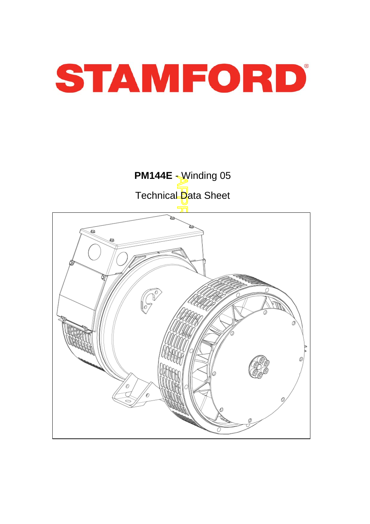

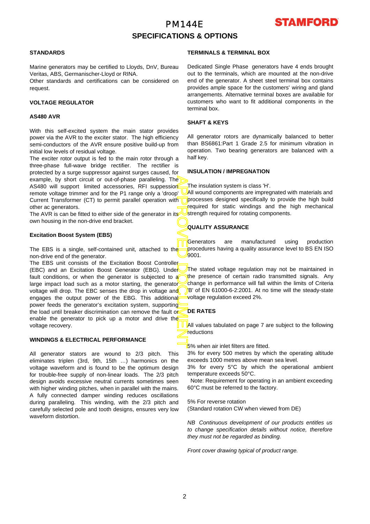# PM144E **SPECIFICATIONS & OPTIONS**



### **STANDARDS**

Marine generators may be certified to Lloyds, DnV, Bureau Veritas, ABS, Germanischer-Lloyd or RINA.

Other standards and certifications can be considered on request.

### **VOLTAGE REGULATOR**

#### **AS480 AVR**

With this self-excited system the main stator provides power via the AVR to the exciter stator. The high efficiency semi-conductors of the AVR ensure positive build-up from initial low levels of residual voltage.

The exciter rotor output is fed to the main rotor through a three-phase full-wave bridge rectifier. The rectifier is protected by a surge suppressor against surges caused, fo r example, by short circuit or out-of-phase paralleling. The AS480 will support limited accessories, RFI suppession remote voltage trimmer and for the P1 range only a 'droop' Current Transformer (CT) to permit parallel operation with other ac generators.

The AVR is can be fitted to either side of the generator in its own housing in the non-drive end bracket.

#### **Excitation Boost System (EBS)**

The EBS is a single, self-contained unit, attached to the non-drive end of the generator.

APPROVED DOCUMENT The EBS unit consists of the Excitation Boost Controller (EBC) and an Excitation Boost Generator (EBG). Under fault conditions, or when the generator is subjected to a large impact load such as a motor starting, the generator voltage will drop. The EBC senses the drop in voltage and engages the output power of the EBG. This additional power feeds the generator's excitation system, supporting the load until breaker discrimination can remove the fault or enable the generator to pick up a motor and drive the voltage recovery.

## **WINDINGS & ELECTRICAL PERFORMANCE**

All generator stators are wound to 2/3 pitch. This eliminates triplen (3rd, 9th, 15th …) harmonics on the voltage waveform and is found to be the optimum design for trouble-free supply of non-linear loads. The 2/3 pitch design avoids excessive neutral currents sometimes seen with higher winding pitches, when in parallel with the mains. A fully connected damper winding reduces oscillations during paralleling. This winding, with the 2/3 pitch and carefully selected pole and tooth designs, ensures very low waveform distortion.

### **TERMINALS & TERMINAL BOX**

Dedicated Single Phase generators have 4 ends brought out to the terminals, which are mounted at the non-drive end of the generator. A sheet steel terminal box contains provides ample space for the customers' wiring and gland arrangements. Alternative terminal boxes are available fo r customers who want to fit additional components in the terminal box.

### **SHAFT & KEYS**

All generator rotors are dynamically balanced to better than BS6861:Part 1 Grade 2.5 for minimum vibration in operation. Two bearing generators are balanced with a half key.

#### **INSULATION / IMPREGNATION**

The insulation system is class 'H'.

All wound components are impregnated with materials and processes designed specifically to provide the high build required for static windings and the high mechanical strength required for rotating components.

## **QUALITY ASSURANCE**

Generators are manufactured using production procedures having a quality assurance level to BS EN ISO 9001.

The stated voltage regulation may not be maintained in the presence of certain radio transmitted signals. Any change in performance will fall within the limits of Criteria B' of EN 61000-6-2:2001. At no time will the steady-state voltage regulation exceed 2%.

### **DE RATES**

All values tabulated on page 7 are subiect to the following reductions

5% when air inlet filters are fitted.

3% for every 500 metres by which the operating altitude exceeds 1000 metres above mean sea level.

3% for every 5°C by which the operational ambient temperature exceeds 50°C.

 Note: Requirement for operating in an ambient exceeding 60°C must be referred to the factory.

5% For reverse rotation

(Standard rotation CW when viewed from DE)

*NB Continuous development of our products entitles us to change specification details without notice, therefore they must not be regarded as binding.* 

*Front cover drawing typical of product range.*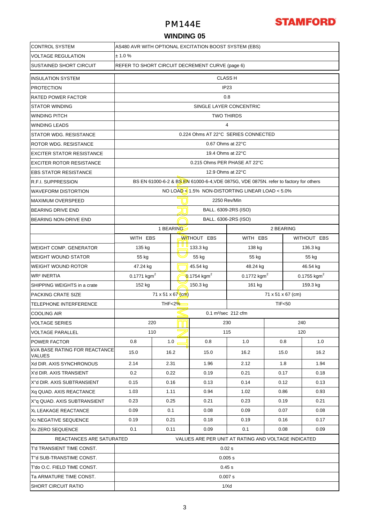# PM144E



# **WINDING 05**

| <b>CONTROL SYSTEM</b>                                 | AS480 AVR WITH OPTIONAL EXCITATION BOOST SYSTEM (EBS) |                                                                                      |          |                         |                                                     |           |                           |          |  |  |  |  |
|-------------------------------------------------------|-------------------------------------------------------|--------------------------------------------------------------------------------------|----------|-------------------------|-----------------------------------------------------|-----------|---------------------------|----------|--|--|--|--|
| <b>VOLTAGE REGULATION</b>                             | ± 1.0%                                                |                                                                                      |          |                         |                                                     |           |                           |          |  |  |  |  |
| <b>SUSTAINED SHORT CIRCUIT</b>                        |                                                       | REFER TO SHORT CIRCUIT DECREMENT CURVE (page 6)<br><b>CLASS H</b>                    |          |                         |                                                     |           |                           |          |  |  |  |  |
| <b>INSULATION SYSTEM</b>                              |                                                       |                                                                                      |          |                         |                                                     |           |                           |          |  |  |  |  |
| <b>PROTECTION</b>                                     |                                                       | IP <sub>23</sub>                                                                     |          |                         |                                                     |           |                           |          |  |  |  |  |
| <b>RATED POWER FACTOR</b>                             | 0.8                                                   |                                                                                      |          |                         |                                                     |           |                           |          |  |  |  |  |
| <b>STATOR WINDING</b>                                 |                                                       | SINGLE LAYER CONCENTRIC                                                              |          |                         |                                                     |           |                           |          |  |  |  |  |
| <b>WINDING PITCH</b>                                  |                                                       | <b>TWO THIRDS</b>                                                                    |          |                         |                                                     |           |                           |          |  |  |  |  |
| <b>WINDING LEADS</b>                                  | $\overline{4}$                                        |                                                                                      |          |                         |                                                     |           |                           |          |  |  |  |  |
| <b>STATOR WDG. RESISTANCE</b>                         | 0.224 Ohms AT 22°C SERIES CONNECTED                   |                                                                                      |          |                         |                                                     |           |                           |          |  |  |  |  |
| <b>ROTOR WDG. RESISTANCE</b>                          | 0.67 Ohms at 22°C                                     |                                                                                      |          |                         |                                                     |           |                           |          |  |  |  |  |
| <b>EXCITER STATOR RESISTANCE</b>                      | 19.4 Ohms at 22°C                                     |                                                                                      |          |                         |                                                     |           |                           |          |  |  |  |  |
| <b>EXCITER ROTOR RESISTANCE</b>                       |                                                       | 0.215 Ohms PER PHASE AT 22°C                                                         |          |                         |                                                     |           |                           |          |  |  |  |  |
| <b>EBS STATOR RESISTANCE</b>                          | 12.9 Ohms at 22°C                                     |                                                                                      |          |                         |                                                     |           |                           |          |  |  |  |  |
| <b>R.F.I. SUPPRESSION</b>                             |                                                       | BS EN 61000-6-2 & BS EN 61000-6-4, VDE 0875G, VDE 0875N. refer to factory for others |          |                         |                                                     |           |                           |          |  |  |  |  |
| <b>WAVEFORM DISTORTION</b>                            | NO LOAD <1.5% NON-DISTORTING LINEAR LOAD <5.0%        |                                                                                      |          |                         |                                                     |           |                           |          |  |  |  |  |
| <b>MAXIMUM OVERSPEED</b>                              | 2250 Rev/Min                                          |                                                                                      |          |                         |                                                     |           |                           |          |  |  |  |  |
| <b>BEARING DRIVE END</b>                              | BALL. 6309-2RS (ISO)                                  |                                                                                      |          |                         |                                                     |           |                           |          |  |  |  |  |
| BEARING NON-DRIVE END                                 |                                                       |                                                                                      |          |                         | BALL. 6306-2RS (ISO)                                |           |                           |          |  |  |  |  |
|                                                       | 1 BEARING                                             |                                                                                      |          |                         |                                                     | 2 BEARING |                           |          |  |  |  |  |
|                                                       | WITH EBS                                              |                                                                                      |          | <b>WITHOUT EBS</b>      | WITH EBS                                            |           | WITHOUT EBS               |          |  |  |  |  |
| <b>WEIGHT COMP. GENERATOR</b>                         | 135 kg                                                |                                                                                      | 133.3 kg |                         | 138 kg                                              |           | 136.3 kg                  |          |  |  |  |  |
| <b>WEIGHT WOUND STATOR</b>                            | 55 kg                                                 |                                                                                      |          | 55 kg                   | 55 kg                                               |           | 55 kg                     |          |  |  |  |  |
| <b>WEIGHT WOUND ROTOR</b>                             | 47.24 kg                                              |                                                                                      |          | 45.54 kg                | 48.24 kg                                            |           |                           | 46.54 kg |  |  |  |  |
| <b>WR<sup>2</sup> INERTIA</b>                         | $0.1771$ kgm <sup>2</sup>                             |                                                                                      |          | 0.1754 kgm <sup>2</sup> | $0.1772$ kgm <sup>2</sup>                           |           | $0.1755$ kgm <sup>2</sup> |          |  |  |  |  |
| SHIPPING WEIGHTS in a crate                           | 152 kg                                                |                                                                                      |          | 150.3 kg                | 161 kg                                              |           |                           | 159.3 kg |  |  |  |  |
| PACKING CRATE SIZE                                    | 71 x 51 x 67 (cm)<br>71 x 51 x 67 (cm)                |                                                                                      |          |                         |                                                     |           |                           |          |  |  |  |  |
| <b>TELEPHONE INTERFERENCE</b>                         | THF<2%<br><b>TIF&lt;50</b>                            |                                                                                      |          |                         |                                                     |           |                           |          |  |  |  |  |
| <b>COOLING AIR</b>                                    |                                                       |                                                                                      |          |                         | 0.1 m <sup>3</sup> /sec 212 cfm                     |           |                           |          |  |  |  |  |
| <b>VOLTAGE SERIES</b>                                 |                                                       | 220                                                                                  |          |                         | 230                                                 |           |                           | 240      |  |  |  |  |
| <b>VOLTAGE PARALLEL</b>                               |                                                       | 110                                                                                  |          |                         | 115                                                 |           |                           | 120      |  |  |  |  |
| <b>POWER FACTOR</b>                                   | 0.8                                                   |                                                                                      | 1.0      | 0.8                     | 1.0                                                 | 0.8       |                           | 1.0      |  |  |  |  |
| <b>KVA BASE RATING FOR REACTANCE</b><br><b>VALUES</b> | 15.0                                                  |                                                                                      | 16.2     | 15.0                    | 16.2                                                | 15.0      |                           | 16.2     |  |  |  |  |
| Xd DIR. AXIS SYNCHRONOUS                              | 2.14                                                  |                                                                                      | 2.31     | 1.96                    | 2.12                                                | 1.8       |                           | 1.94     |  |  |  |  |
| X'd DIR. AXIS TRANSIENT                               | 0.2                                                   |                                                                                      | 0.22     | 0.19                    | 0.21                                                | 0.17      |                           | 0.18     |  |  |  |  |
| X"d DIR. AXIS SUBTRANSIENT                            | 0.15                                                  |                                                                                      | 0.16     | 0.13                    | 0.14                                                | 0.12      |                           | 0.13     |  |  |  |  |
| Xq QUAD. AXIS REACTANCE                               | 1.03                                                  |                                                                                      | 1.11     | 0.94                    | 1.02                                                | 0.86      |                           | 0.93     |  |  |  |  |
| X"q QUAD. AXIS SUBTRANSIENT                           | 0.23                                                  | 0.25                                                                                 |          | 0.21                    | 0.23                                                | 0.19      |                           | 0.21     |  |  |  |  |
| XL LEAKAGE REACTANCE                                  | 0.09                                                  | 0.1                                                                                  |          | 0.08                    | 0.09                                                | 0.07      |                           | 0.08     |  |  |  |  |
| X <sub>2</sub> NEGATIVE SEQUENCE                      | 0.19                                                  |                                                                                      | 0.21     | 0.18                    | 0.19                                                | 0.16      |                           | 0.17     |  |  |  |  |
| X <sub>0</sub> ZERO SEQUENCE                          | 0.1<br>0.11                                           |                                                                                      | 0.09     | 0.1                     | 0.08                                                |           | 0.09                      |          |  |  |  |  |
| REACTANCES ARE SATURATED                              |                                                       |                                                                                      |          |                         | VALUES ARE PER UNIT AT RATING AND VOLTAGE INDICATED |           |                           |          |  |  |  |  |
| T'd TRANSIENT TIME CONST.                             | 0.02 s                                                |                                                                                      |          |                         |                                                     |           |                           |          |  |  |  |  |
| T"d SUB-TRANSTIME CONST.                              | 0.005 s                                               |                                                                                      |          |                         |                                                     |           |                           |          |  |  |  |  |
| T'do O.C. FIELD TIME CONST.                           | 0.45s                                                 |                                                                                      |          |                         |                                                     |           |                           |          |  |  |  |  |
| Ta ARMATURE TIME CONST.                               | 0.007 s                                               |                                                                                      |          |                         |                                                     |           |                           |          |  |  |  |  |
| <b>SHORT CIRCUIT RATIO</b>                            | 1/Xd                                                  |                                                                                      |          |                         |                                                     |           |                           |          |  |  |  |  |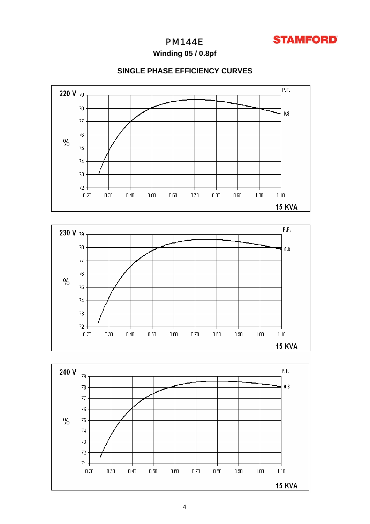

# PM144E

**Winding 05 / 0.8pf**



 $%$ 

 $75\,$ 

 $74$ 

73

 $72.$  $0.20$ 

 $0.30$ 

 $0.40$ 

 $0.50$ 

 $0.60\,$ 

 $0.70$ 

 $0.80\,$ 

 $0.90$ 

 $1.00$ 

 $1.10$ 

# **SINGLE PHASE EFFICIENCY CURVES**

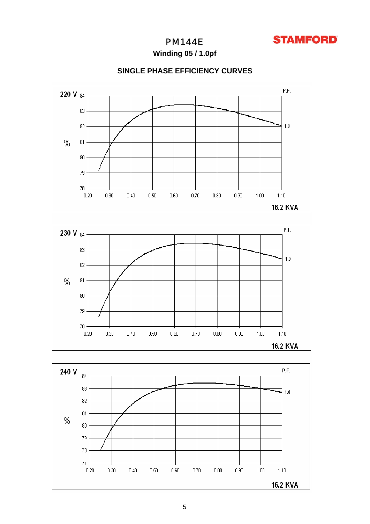

# PM144E

**Winding 05 / 1.0pf**

# **SINGLE PHASE EFFICIENCY CURVES**





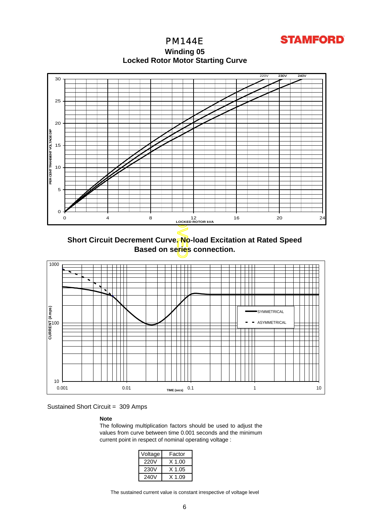**STAMFORD** 

PM144E **Winding 05 Locked Rotor Motor Startin g Curve**



**Short Circuit Decrement Curve. No-load Excitation at Rated Speed Based on series connection.**



Sustained Short Circuit = 309 Amps

### **Note**

The following multiplication factors should be used to adjust the values from curve between time 0.001 seconds and the minimum current point in respect of nominal operating voltage :

| Voltage | Factor |
|---------|--------|
| 220V    | X 1.00 |
| 230V    | X 1.05 |
| 240V    | X 1 09 |

The sustained current value is constant irrespective of voltage level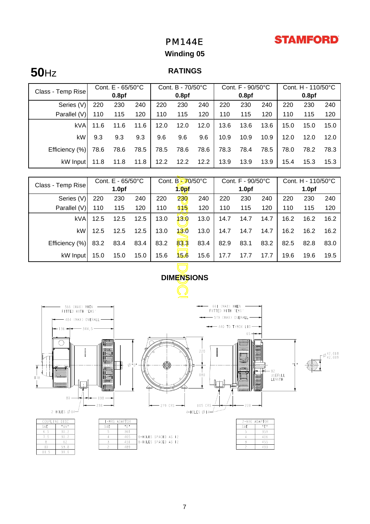# **STAMFORD**

# PM144E

# **Winding 05**

# **50**Hz **RATINGS**

| Class - Temp Rise | Cont. $E - 65/50^{\circ}C$ |                   |      | Cont. B - 70/50°C |                   |      | Cont. F - 90/50°C |                   |      | Cont. H - 110/50°C |                   |      |
|-------------------|----------------------------|-------------------|------|-------------------|-------------------|------|-------------------|-------------------|------|--------------------|-------------------|------|
|                   |                            | 0.8 <sub>pf</sub> |      |                   | 0.8 <sub>pf</sub> |      |                   | 0.8 <sub>pf</sub> |      |                    | 0.8 <sub>pf</sub> |      |
| Series (V)        | 220                        | 230               | 240  | 220               | 230               | 240  | 220               | 230               | 240  | 220                | 230               | 240  |
| Parallel (V)      | 110                        | 115               | 120  | 110               | 115               | 120  | 110               | 115               | 120  | 110                | 115               | 120  |
| kVA               | 11.6                       | 11.6              | 11.6 | 12.0              | 12.0              | 12.0 | 13.6              | 13.6              | 13.6 | 15.0               | 15.0              | 15.0 |
| kW                | 9.3                        | 9.3               | 9.3  | 9.6               | 9.6               | 9.6  | 10.9              | 10.9              | 10.9 | 12.0               | 12.0              | 12.0 |
| Efficiency (%)    | 78.6                       | 78.6              | 78.5 | 78.5              | 78.6              | 78.6 | 78.3              | 78.4              | 78.5 | 78.0               | 78.2              | 78.3 |
| kW Input          | 11.8                       | 11.8              | 11.8 | 12.2              | 12.2              | 12.2 | 13.9              | 13.9              | 13.9 | 15.4               | 15.3              | 15.3 |

| Class - Temp Rise                                                          | Cont. E - 65/50°C                                                     |                   |      | Cont. B-70/50°C |                   |      | Cont. F - 90/50°C |                   |      | Cont. H - 110/50°C |                   |      |
|----------------------------------------------------------------------------|-----------------------------------------------------------------------|-------------------|------|-----------------|-------------------|------|-------------------|-------------------|------|--------------------|-------------------|------|
|                                                                            |                                                                       | 1.0 <sub>pf</sub> |      |                 | 1.0 <sub>pf</sub> |      |                   | 1.0 <sub>pf</sub> |      |                    | 1.0 <sub>pf</sub> |      |
| Series (V)                                                                 | 220                                                                   | 230               | 240  | 220             | 230               | 240  | 220               | 230               | 240  | 220                | 230               | 240  |
| Parallel (V)                                                               | 110                                                                   | 115               | 120  | 110             | 115               | 120  | 110               | 115               | 120  | 110                | 115               | 120  |
| kVA                                                                        | 12.5                                                                  | 12.5              | 12.5 | 13.0            | 13.0              | 13.0 | 14.7              | 14.7              | 14.7 | 16.2               | 16.2              | 16.2 |
| kW                                                                         | 12.5                                                                  | 12.5              | 12.5 | 13.0            | 13.0              | 13.0 | 14.7              | 14.7              | 14.7 | 16.2               | 16.2              | 16.2 |
| Efficiency (%)                                                             | 83.2                                                                  | 83.4              | 83.4 | 83.2            | 83.3              | 83.4 | 82.9              | 83.1              | 83.2 | 82.5               | 82.8              | 83.0 |
| kW Input                                                                   | 15.0                                                                  | 15.0              | 15.0 | 15.6            | 15.6              | 15.6 | 17.7              | 17.7              | 17.7 | 19.6               | 19.6              | 19.5 |
|                                                                            |                                                                       |                   |      |                 |                   |      |                   |                   |      |                    |                   |      |
| <b>DIMENSIONS</b>                                                          |                                                                       |                   |      |                 |                   |      |                   |                   |      |                    |                   |      |
|                                                                            |                                                                       |                   |      |                 |                   |      |                   |                   |      |                    |                   |      |
| 66  (MAX) WHEN<br>566 (MAX) WHEN<br>FITTED WITH 'EBS'<br>FITTED WITH 'EBS' |                                                                       |                   |      |                 |                   |      |                   |                   |      |                    |                   |      |
| - 579 (MAX) OVERALL<br>484 (MAX) OVERALL                                   |                                                                       |                   |      |                 |                   |      |                   |                   |      |                    |                   |      |
| $\rightarrow$ 440 TO T/BOX LID<br>$136 -$<br>3445<br>65                    |                                                                       |                   |      |                 |                   |      |                   |                   |      |                    |                   |      |
|                                                                            | <b>RABBOOD I</b><br>n deserte         <br>     000000          177000 |                   |      |                 |                   |      |                   |                   |      |                    |                   |      |